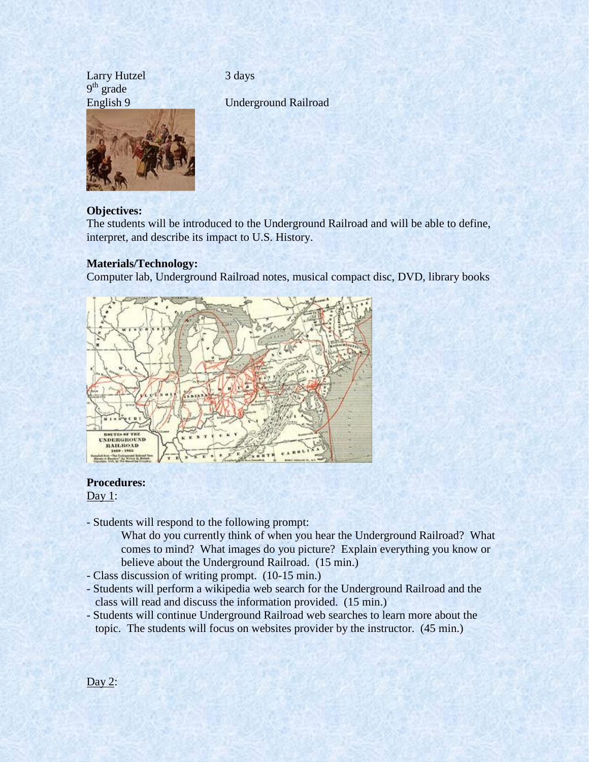Larry Hutzel 3 days 9<sup>th</sup> grade



English 9 Underground Railroad

# **Objectives:**

The students will be introduced to the Underground Railroad and will be able to define, interpret, and describe its impact to U.S. History.

# **Materials/Technology:**

Computer lab, Underground Railroad notes, musical compact disc, DVD, library books



# **Procedures:**

Day 1:

- Students will respond to the following prompt:

What do you currently think of when you hear the Underground Railroad? What comes to mind? What images do you picture? Explain everything you know or believe about the Underground Railroad. (15 min.)

- Class discussion of writing prompt. (10-15 min.)
- Students will perform a wikipedia web search for the Underground Railroad and the class will read and discuss the information provided. (15 min.)
- Students will continue Underground Railroad web searches to learn more about the topic. The students will focus on websites provider by the instructor. (45 min.)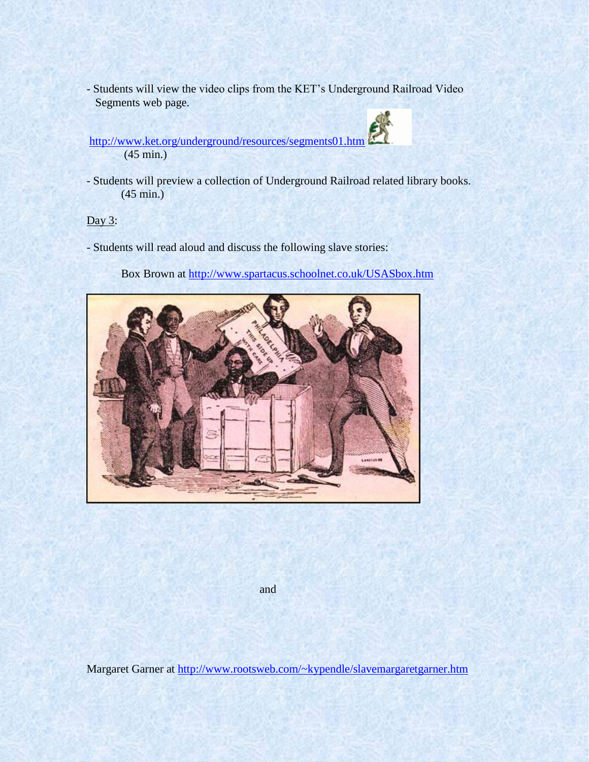- Students will view the video clips from the KET's Underground Railroad Video Segments web page.

<http://www.ket.org/underground/resources/segments01.htm> (45 min.)

- Students will preview a collection of Underground Railroad related library books. (45 min.)

Day 3:

- Students will read aloud and discuss the following slave stories:

Box Brown at<http://www.spartacus.schoolnet.co.uk/USASbox.htm>



and

Margaret Garner at<http://www.rootsweb.com/~kypendle/slavemargaretgarner.htm>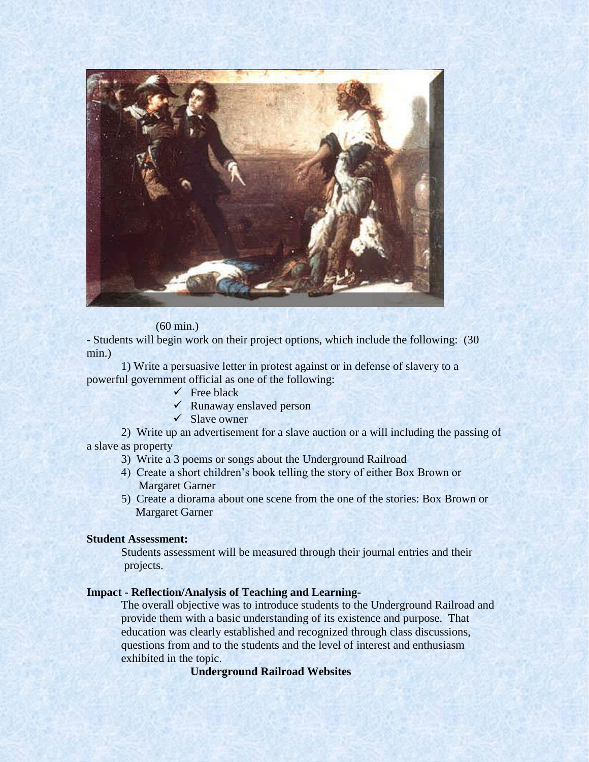

#### (60 min.)

- Students will begin work on their project options, which include the following: (30 min.)

1) Write a persuasive letter in protest against or in defense of slavery to a powerful government official as one of the following:

- $\checkmark$  Free black
- $\checkmark$  Runaway enslaved person
- $\checkmark$  Slave owner

2) Write up an advertisement for a slave auction or a will including the passing of a slave as property

- 3) Write a 3 poems or songs about the Underground Railroad
- 4) Create a short children's book telling the story of either Box Brown or Margaret Garner
- 5) Create a diorama about one scene from the one of the stories: Box Brown or Margaret Garner

### **Student Assessment:**

Students assessment will be measured through their journal entries and their projects.

## **Impact - Reflection/Analysis of Teaching and Learning-**

The overall objective was to introduce students to the Underground Railroad and provide them with a basic understanding of its existence and purpose. That education was clearly established and recognized through class discussions, questions from and to the students and the level of interest and enthusiasm exhibited in the topic.

**Underground Railroad Websites**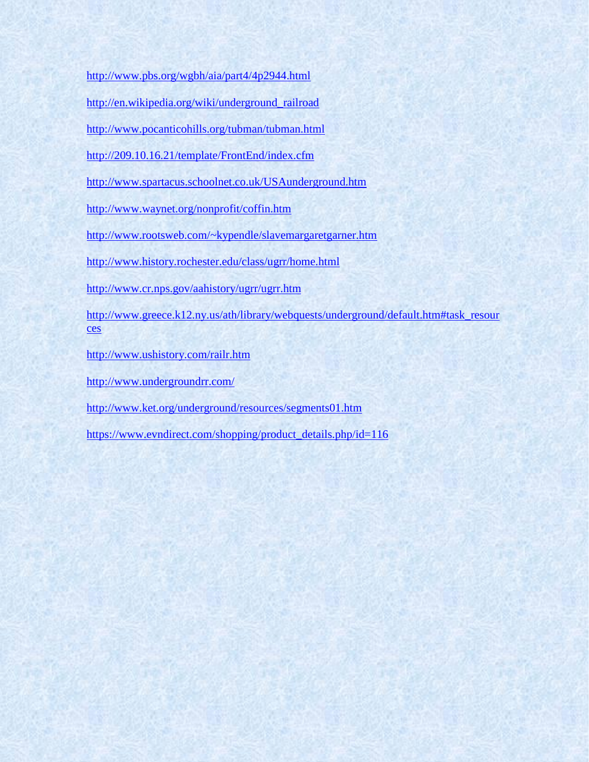<http://www.pbs.org/wgbh/aia/part4/4p2944.html>

[http://en.wikipedia.org/wiki/underground\\_railroad](http://en.wikipedia.org/wiki/underground_railroad)

<http://www.pocanticohills.org/tubman/tubman.html>

<http://209.10.16.21/template/FrontEnd/index.cfm>

<http://www.spartacus.schoolnet.co.uk/USAunderground.htm>

<http://www.waynet.org/nonprofit/coffin.htm>

<http://www.rootsweb.com/~kypendle/slavemargaretgarner.htm>

<http://www.history.rochester.edu/class/ugrr/home.html>

<http://www.cr.nps.gov/aahistory/ugrr/ugrr.htm>

[http://www.greece.k12.ny.us/ath/library/webquests/underground/default.htm#task\\_resour](http://www.greece.k12.ny.us/ath/library/webquests/underground/default.htm#task_resources) [ces](http://www.greece.k12.ny.us/ath/library/webquests/underground/default.htm#task_resources)

<http://www.ushistory.com/railr.htm>

<http://www.undergroundrr.com/>

<http://www.ket.org/underground/resources/segments01.htm>

[https://www.evndirect.com/shopping/product\\_details.php/id=116](https://www.evndirect.com/shopping/product_details.php/id=116)